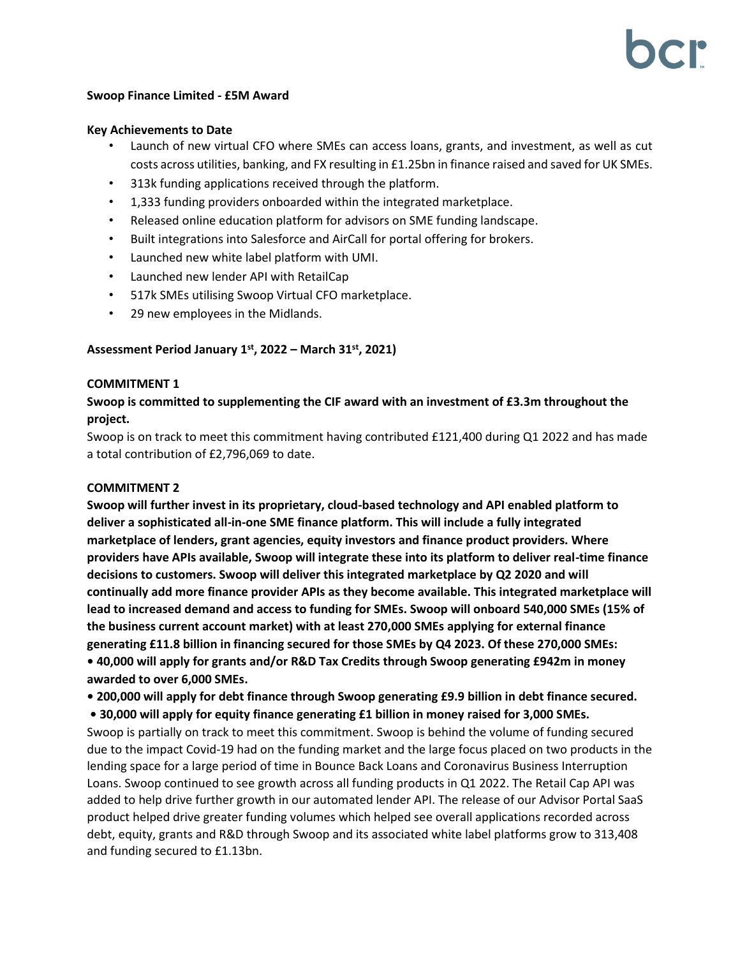#### **Swoop Finance Limited - £5M Award**

#### **Key Achievements to Date**

- Launch of new virtual CFO where SMEs can access loans, grants, and investment, as well as cut costs across utilities, banking, and FX resulting in £1.25bn in finance raised and saved for UK SMEs.
- 313k funding applications received through the platform.
- 1,333 funding providers onboarded within the integrated marketplace.
- Released online education platform for advisors on SME funding landscape.
- Built integrations into Salesforce and AirCall for portal offering for brokers.
- Launched new white label platform with UMI.
- Launched new lender API with RetailCap
- 517k SMEs utilising Swoop Virtual CFO marketplace.
- 29 new employees in the Midlands.

# **Assessment Period January 1st , 2022 – March 31st , 2021)**

### **COMMITMENT 1**

# **Swoop is committed to supplementing the CIF award with an investment of £3.3m throughout the project.**

Swoop is on track to meet this commitment having contributed £121,400 during Q1 2022 and has made a total contribution of £2,796,069 to date.

## **COMMITMENT 2**

**Swoop will further invest in its proprietary, cloud-based technology and API enabled platform to deliver a sophisticated all-in-one SME finance platform. This will include a fully integrated marketplace of lenders, grant agencies, equity investors and finance product providers. Where providers have APIs available, Swoop will integrate these into its platform to deliver real-time finance decisions to customers. Swoop will deliver this integrated marketplace by Q2 2020 and will continually add more finance provider APIs as they become available. This integrated marketplace will lead to increased demand and access to funding for SMEs. Swoop will onboard 540,000 SMEs (15% of the business current account market) with at least 270,000 SMEs applying for external finance generating £11.8 billion in financing secured for those SMEs by Q4 2023. Of these 270,000 SMEs: • 40,000 will apply for grants and/or R&D Tax Credits through Swoop generating £942m in money awarded to over 6,000 SMEs.**

**• 200,000 will apply for debt finance through Swoop generating £9.9 billion in debt finance secured.**

**• 30,000 will apply for equity finance generating £1 billion in money raised for 3,000 SMEs.** Swoop is partially on track to meet this commitment. Swoop is behind the volume of funding secured due to the impact Covid-19 had on the funding market and the large focus placed on two products in the lending space for a large period of time in Bounce Back Loans and Coronavirus Business Interruption Loans. Swoop continued to see growth across all funding products in Q1 2022. The Retail Cap API was added to help drive further growth in our automated lender API. The release of our Advisor Portal SaaS

product helped drive greater funding volumes which helped see overall applications recorded across debt, equity, grants and R&D through Swoop and its associated white label platforms grow to 313,408 and funding secured to £1.13bn.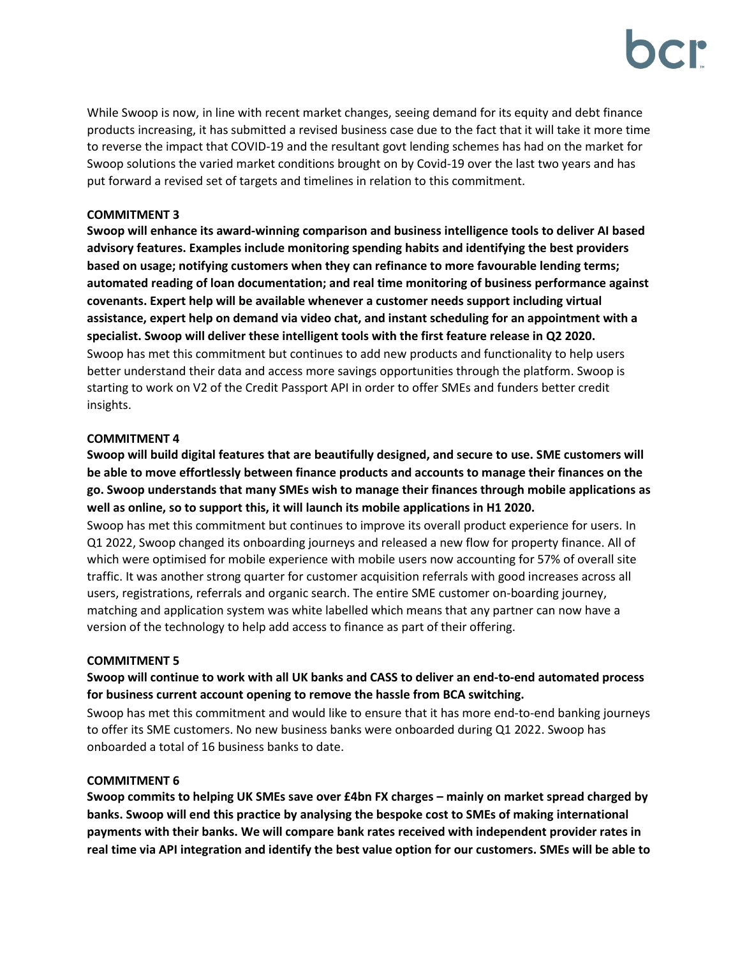While Swoop is now, in line with recent market changes, seeing demand for its equity and debt finance products increasing, it has submitted a revised business case due to the fact that it will take it more time to reverse the impact that COVID-19 and the resultant govt lending schemes has had on the market for Swoop solutions the varied market conditions brought on by Covid-19 over the last two years and has put forward a revised set of targets and timelines in relation to this commitment.

# **COMMITMENT 3**

**Swoop will enhance its award-winning comparison and business intelligence tools to deliver AI based advisory features. Examples include monitoring spending habits and identifying the best providers based on usage; notifying customers when they can refinance to more favourable lending terms; automated reading of loan documentation; and real time monitoring of business performance against covenants. Expert help will be available whenever a customer needs support including virtual assistance, expert help on demand via video chat, and instant scheduling for an appointment with a specialist. Swoop will deliver these intelligent tools with the first feature release in Q2 2020.** Swoop has met this commitment but continues to add new products and functionality to help users better understand their data and access more savings opportunities through the platform. Swoop is starting to work on V2 of the Credit Passport API in order to offer SMEs and funders better credit insights.

# **COMMITMENT 4**

**Swoop will build digital features that are beautifully designed, and secure to use. SME customers will be able to move effortlessly between finance products and accounts to manage their finances on the go. Swoop understands that many SMEs wish to manage their finances through mobile applications as well as online, so to support this, it will launch its mobile applications in H1 2020.**

Swoop has met this commitment but continues to improve its overall product experience for users. In Q1 2022, Swoop changed its onboarding journeys and released a new flow for property finance. All of which were optimised for mobile experience with mobile users now accounting for 57% of overall site traffic. It was another strong quarter for customer acquisition referrals with good increases across all users, registrations, referrals and organic search. The entire SME customer on-boarding journey, matching and application system was white labelled which means that any partner can now have a version of the technology to help add access to finance as part of their offering.

## **COMMITMENT 5**

# **Swoop will continue to work with all UK banks and CASS to deliver an end-to-end automated process for business current account opening to remove the hassle from BCA switching.**

Swoop has met this commitment and would like to ensure that it has more end-to-end banking journeys to offer its SME customers. No new business banks were onboarded during Q1 2022. Swoop has onboarded a total of 16 business banks to date.

## **COMMITMENT 6**

**Swoop commits to helping UK SMEs save over £4bn FX charges – mainly on market spread charged by banks. Swoop will end this practice by analysing the bespoke cost to SMEs of making international payments with their banks. We will compare bank rates received with independent provider rates in real time via API integration and identify the best value option for our customers. SMEs will be able to**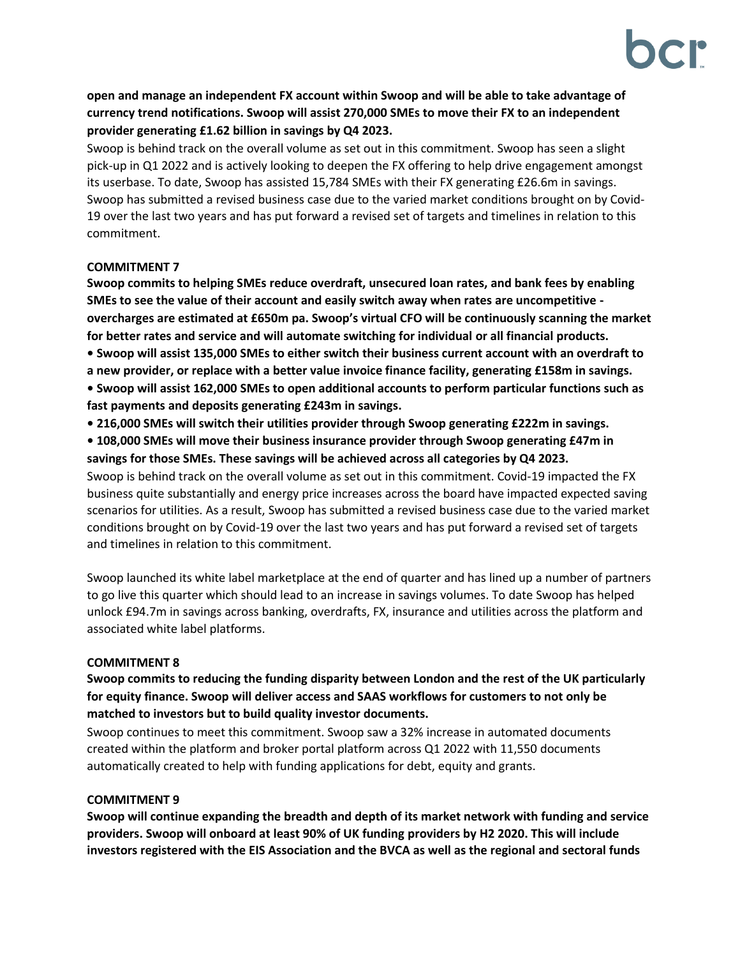**open and manage an independent FX account within Swoop and will be able to take advantage of currency trend notifications. Swoop will assist 270,000 SMEs to move their FX to an independent provider generating £1.62 billion in savings by Q4 2023.**

Swoop is behind track on the overall volume as set out in this commitment. Swoop has seen a slight pick-up in Q1 2022 and is actively looking to deepen the FX offering to help drive engagement amongst its userbase. To date, Swoop has assisted 15,784 SMEs with their FX generating £26.6m in savings. Swoop has submitted a revised business case due to the varied market conditions brought on by Covid-19 over the last two years and has put forward a revised set of targets and timelines in relation to this commitment.

# **COMMITMENT 7**

**Swoop commits to helping SMEs reduce overdraft, unsecured loan rates, and bank fees by enabling SMEs to see the value of their account and easily switch away when rates are uncompetitive overcharges are estimated at £650m pa. Swoop's virtual CFO will be continuously scanning the market for better rates and service and will automate switching for individual or all financial products. • Swoop will assist 135,000 SMEs to either switch their business current account with an overdraft to a new provider, or replace with a better value invoice finance facility, generating £158m in savings.**

**• Swoop will assist 162,000 SMEs to open additional accounts to perform particular functions such as fast payments and deposits generating £243m in savings.**

- **216,000 SMEs will switch their utilities provider through Swoop generating £222m in savings.**
- **108,000 SMEs will move their business insurance provider through Swoop generating £47m in savings for those SMEs. These savings will be achieved across all categories by Q4 2023.**

Swoop is behind track on the overall volume as set out in this commitment. Covid-19 impacted the FX business quite substantially and energy price increases across the board have impacted expected saving scenarios for utilities. As a result, Swoop has submitted a revised business case due to the varied market conditions brought on by Covid-19 over the last two years and has put forward a revised set of targets and timelines in relation to this commitment.

Swoop launched its white label marketplace at the end of quarter and has lined up a number of partners to go live this quarter which should lead to an increase in savings volumes. To date Swoop has helped unlock £94.7m in savings across banking, overdrafts, FX, insurance and utilities across the platform and associated white label platforms.

## **COMMITMENT 8**

# **Swoop commits to reducing the funding disparity between London and the rest of the UK particularly for equity finance. Swoop will deliver access and SAAS workflows for customers to not only be matched to investors but to build quality investor documents.**

Swoop continues to meet this commitment. Swoop saw a 32% increase in automated documents created within the platform and broker portal platform across Q1 2022 with 11,550 documents automatically created to help with funding applications for debt, equity and grants.

## **COMMITMENT 9**

**Swoop will continue expanding the breadth and depth of its market network with funding and service providers. Swoop will onboard at least 90% of UK funding providers by H2 2020. This will include investors registered with the EIS Association and the BVCA as well as the regional and sectoral funds**